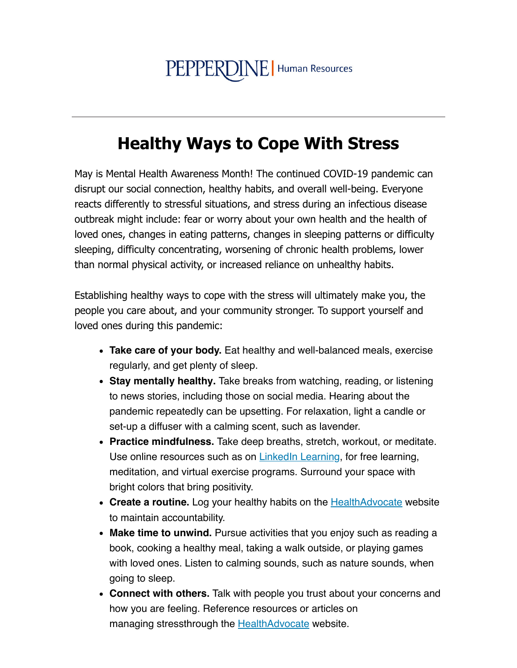## PEPPERDINE | Human Resources

## **Healthy Ways to Cope With Stress**

May is Mental Health Awareness Month! The continued COVID-19 pandemic can disrupt our social connection, healthy habits, and overall well-being. Everyone reacts differently to stressful situations, and stress during an infectious disease outbreak might include: fear or worry about your own health and the health of loved ones, changes in eating patterns, changes in sleeping patterns or difficulty sleeping, difficulty concentrating, worsening of chronic health problems, lower than normal physical activity, or increased reliance on unhealthy habits.

Establishing healthy ways to cope with the stress will ultimately make you, the people you care about, and your community stronger. To support yourself and loved ones during this pandemic:

- Take care of your body. Eat healthy and well-balanced meals, exercise regularly, and get plenty of sleep.
- Stay mentally healthy. Take breaks from watching, reading, or listening to news stories, including those on social media. Hearing about the pandemic repeatedly can be upsetting. For relaxation, light a candle or set-up a diffuser with a calming scent, such as lavender.
- Practice mindfulness. Take deep breaths, stretch, workout, or meditate. Use online resources such as on Linkedln Learning, for free learning, meditation, and virtual exercise programs. Surround your space with bright colors that bring positivity.
- Create a routine. Log your healthy habits on the **HealthAdvocate** website to maintain accountability.
- Make time to unwind. Pursue activities that you enjoy such as reading a book, cooking a healthy meal, taking a walk outside, or playing games with loved ones. Listen to calming sounds, such as nature sounds, when going to sleep.
- Connect with others. Talk with people you trust about your concerns and how you are feeling. Reference resources or articles on managing stressthrough the **HealthAdvocate** website.